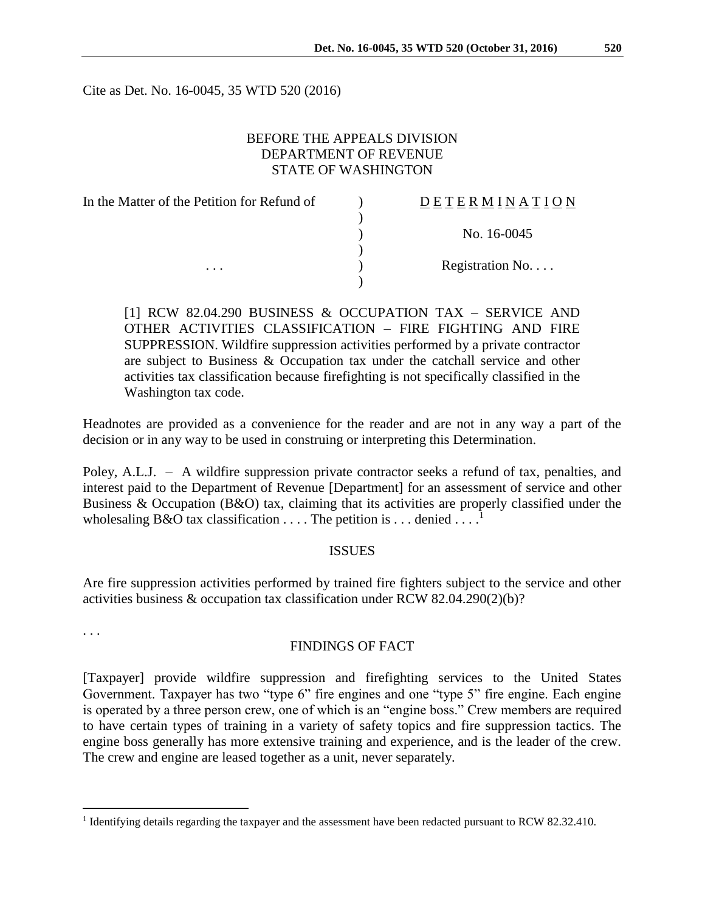Cite as Det. No. 16-0045, 35 WTD 520 (2016)

# BEFORE THE APPEALS DIVISION DEPARTMENT OF REVENUE STATE OF WASHINGTON

| In the Matter of the Petition for Refund of | DETERMINATION   |
|---------------------------------------------|-----------------|
|                                             |                 |
|                                             | No. 16-0045     |
|                                             |                 |
| $\cdots$                                    | Registration No |
|                                             |                 |

[1] RCW 82.04.290 BUSINESS & OCCUPATION TAX – SERVICE AND OTHER ACTIVITIES CLASSIFICATION – FIRE FIGHTING AND FIRE SUPPRESSION. Wildfire suppression activities performed by a private contractor are subject to Business & Occupation tax under the catchall service and other activities tax classification because firefighting is not specifically classified in the Washington tax code.

Headnotes are provided as a convenience for the reader and are not in any way a part of the decision or in any way to be used in construing or interpreting this Determination.

Poley, A.L.J. – A wildfire suppression private contractor seeks a refund of tax, penalties, and interest paid to the Department of Revenue [Department] for an assessment of service and other Business & Occupation (B&O) tax, claiming that its activities are properly classified under the wholesaling B&O tax classification  $\dots$ . The petition is  $\dots$  denied  $\dots$ 

## ISSUES

Are fire suppression activities performed by trained fire fighters subject to the service and other activities business & occupation tax classification under RCW 82.04.290(2)(b)?

. . .

 $\overline{a}$ 

### FINDINGS OF FACT

[Taxpayer] provide wildfire suppression and firefighting services to the United States Government. Taxpayer has two "type 6" fire engines and one "type 5" fire engine. Each engine is operated by a three person crew, one of which is an "engine boss." Crew members are required to have certain types of training in a variety of safety topics and fire suppression tactics. The engine boss generally has more extensive training and experience, and is the leader of the crew. The crew and engine are leased together as a unit, never separately.

<sup>&</sup>lt;sup>1</sup> Identifying details regarding the taxpayer and the assessment have been redacted pursuant to RCW 82.32.410.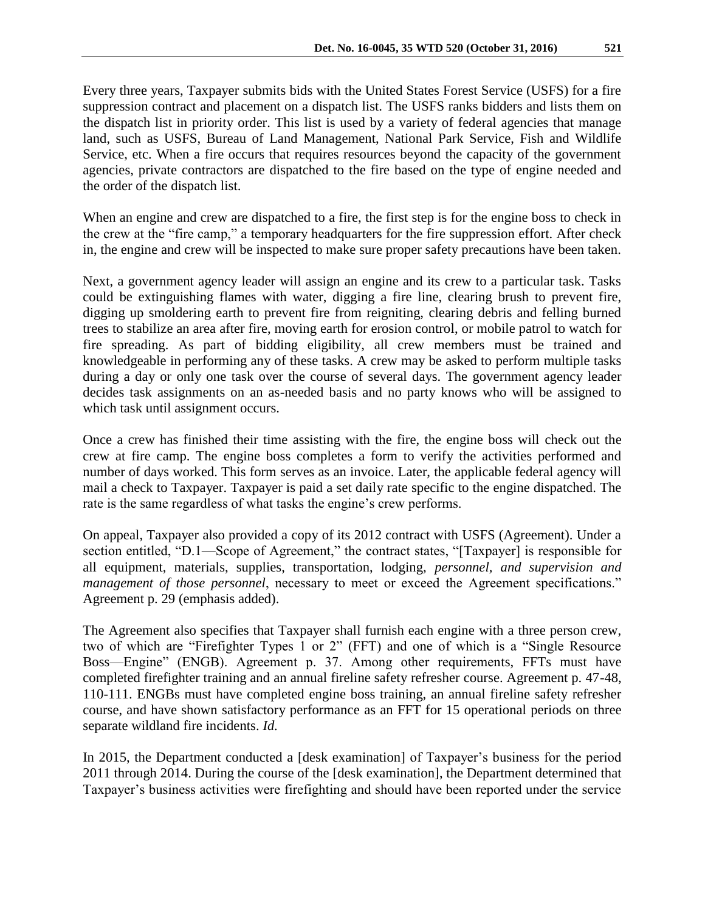When an engine and crew are dispatched to a fire, the first step is for the engine boss to check in the crew at the "fire camp," a temporary headquarters for the fire suppression effort. After check in, the engine and crew will be inspected to make sure proper safety precautions have been taken.

Next, a government agency leader will assign an engine and its crew to a particular task. Tasks could be extinguishing flames with water, digging a fire line, clearing brush to prevent fire, digging up smoldering earth to prevent fire from reigniting, clearing debris and felling burned trees to stabilize an area after fire, moving earth for erosion control, or mobile patrol to watch for fire spreading. As part of bidding eligibility, all crew members must be trained and knowledgeable in performing any of these tasks. A crew may be asked to perform multiple tasks during a day or only one task over the course of several days. The government agency leader decides task assignments on an as-needed basis and no party knows who will be assigned to which task until assignment occurs.

Once a crew has finished their time assisting with the fire, the engine boss will check out the crew at fire camp. The engine boss completes a form to verify the activities performed and number of days worked. This form serves as an invoice. Later, the applicable federal agency will mail a check to Taxpayer. Taxpayer is paid a set daily rate specific to the engine dispatched. The rate is the same regardless of what tasks the engine's crew performs.

On appeal, Taxpayer also provided a copy of its 2012 contract with USFS (Agreement). Under a section entitled, "D.1—Scope of Agreement," the contract states, "[Taxpayer] is responsible for all equipment, materials, supplies, transportation, lodging, *personnel, and supervision and management of those personnel*, necessary to meet or exceed the Agreement specifications." Agreement p. 29 (emphasis added).

The Agreement also specifies that Taxpayer shall furnish each engine with a three person crew, two of which are "Firefighter Types 1 or 2" (FFT) and one of which is a "Single Resource Boss—Engine" (ENGB). Agreement p. 37. Among other requirements, FFTs must have completed firefighter training and an annual fireline safety refresher course. Agreement p. 47-48, 110-111. ENGBs must have completed engine boss training, an annual fireline safety refresher course, and have shown satisfactory performance as an FFT for 15 operational periods on three separate wildland fire incidents. *Id.*

In 2015, the Department conducted a [desk examination] of Taxpayer's business for the period 2011 through 2014. During the course of the [desk examination], the Department determined that Taxpayer's business activities were firefighting and should have been reported under the service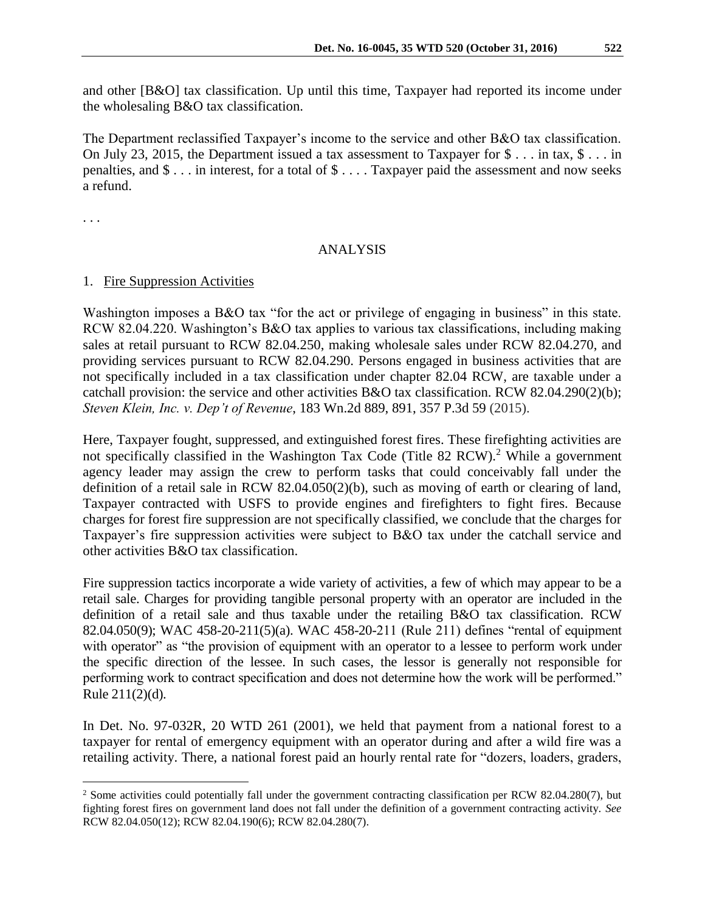and other [B&O] tax classification. Up until this time, Taxpayer had reported its income under the wholesaling B&O tax classification.

The Department reclassified Taxpayer's income to the service and other B&O tax classification. On July 23, 2015, the Department issued a tax assessment to Taxpayer for  $\frac{1}{2}$ ... in tax,  $\frac{1}{2}$ ... in penalties, and \$ . . . in interest, for a total of \$ . . . . Taxpayer paid the assessment and now seeks a refund.

. . .

 $\overline{a}$ 

## ANALYSIS

### 1. Fire Suppression Activities

Washington imposes a B&O tax "for the act or privilege of engaging in business" in this state. RCW 82.04.220. Washington's B&O tax applies to various tax classifications, including making sales at retail pursuant to RCW 82.04.250, making wholesale sales under RCW 82.04.270, and providing services pursuant to RCW 82.04.290. Persons engaged in business activities that are not specifically included in a tax classification under chapter 82.04 RCW, are taxable under a catchall provision: the service and other activities B&O tax classification. RCW 82.04.290(2)(b); *Steven Klein, Inc. v. Dep't of Revenue*, 183 Wn.2d 889, 891, 357 P.3d 59 (2015).

Here, Taxpayer fought, suppressed, and extinguished forest fires. These firefighting activities are not specifically classified in the Washington Tax Code (Title 82 RCW).<sup>2</sup> While a government agency leader may assign the crew to perform tasks that could conceivably fall under the definition of a retail sale in RCW 82.04.050(2)(b), such as moving of earth or clearing of land, Taxpayer contracted with USFS to provide engines and firefighters to fight fires. Because charges for forest fire suppression are not specifically classified, we conclude that the charges for Taxpayer's fire suppression activities were subject to B&O tax under the catchall service and other activities B&O tax classification.

Fire suppression tactics incorporate a wide variety of activities, a few of which may appear to be a retail sale. Charges for providing tangible personal property with an operator are included in the definition of a retail sale and thus taxable under the retailing B&O tax classification. RCW 82.04.050(9); WAC 458-20-211(5)(a). WAC 458-20-211 (Rule 211) defines "rental of equipment with operator" as "the provision of equipment with an operator to a lessee to perform work under the specific direction of the lessee. In such cases, the lessor is generally not responsible for performing work to contract specification and does not determine how the work will be performed." Rule 211(2)(d).

In Det. No. 97-032R, 20 WTD 261 (2001), we held that payment from a national forest to a taxpayer for rental of emergency equipment with an operator during and after a wild fire was a retailing activity. There, a national forest paid an hourly rental rate for "dozers, loaders, graders,

<sup>2</sup> Some activities could potentially fall under the government contracting classification per RCW 82.04.280(7), but fighting forest fires on government land does not fall under the definition of a government contracting activity. *See* RCW 82.04.050(12); RCW 82.04.190(6); RCW 82.04.280(7).